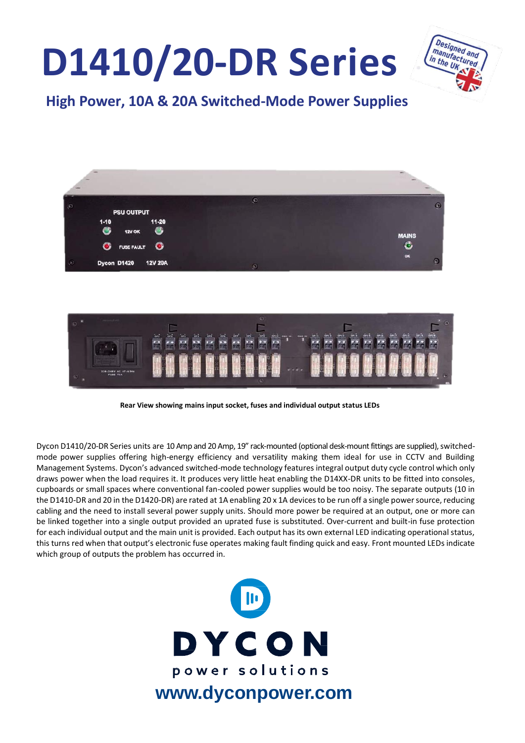# **D1410/20-DR Series**



## **High Power, 10A & 20A Switched-Mode Power Supplies**



**Rear View showing mains input socket, fuses and individual output status LEDs**

Dycon D1410/20-DR Series units are 10 Amp and 20 Amp, 19" rack-mounted (optional desk-mount fittings are supplied), switchedmode power supplies offering high-energy efficiency and versatility making them ideal for use in CCTV and Building Management Systems. Dycon's advanced switched-mode technology features integral output duty cycle control which only draws power when the load requires it. It produces very little heat enabling the D14XX-DR units to be fitted into consoles, cupboards or small spaces where conventional fan-cooled power supplies would be too noisy. The separate outputs (10 in the D1410-DR and 20 in the D1420-DR) are rated at 1A enabling 20 x 1A devices to be run off a single power source, reducing cabling and the need to install several power supply units. Should more power be required at an output, one or more can be linked together into a single output provided an uprated fuse is substituted. Over-current and built-in fuse protection for each individual output and the main unit is provided. Each output has its own external LED indicating operational status, this turns red when that output's electronic fuse operates making fault finding quick and easy. Front mounted LEDs indicate which group of outputs the problem has occurred in.